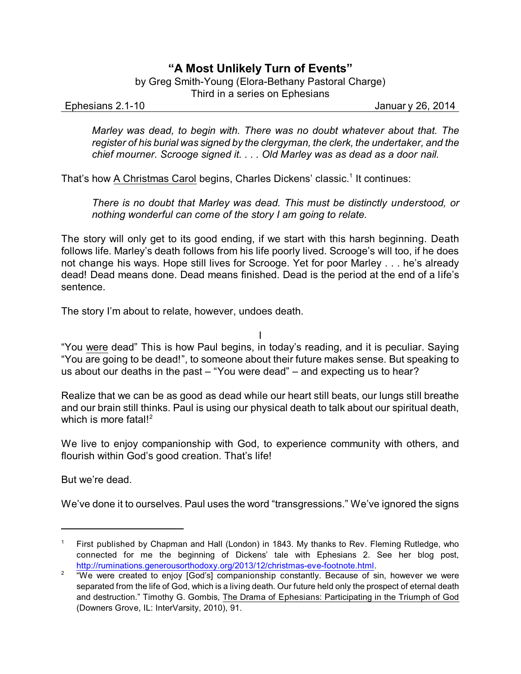## **"A Most Unlikely Turn of Events"**

by Greg Smith-Young (Elora-Bethany Pastoral Charge)

Third in a series on Ephesians

Ephesians 2.1-10 Januar y 26, 2014

*Marley was dead, to begin with. There was no doubt whatever about that. The register of his burial was signed by the clergyman, the clerk, the undertaker, and the chief mourner. Scrooge signed it. . . . Old Marley was as dead as a door nail.*

That's how <u>A Christmas Carol</u> begins, Charles Dickens' classic.<sup>1</sup> It continues:

*There is no doubt that Marley was dead. This must be distinctly understood, or nothing wonderful can come of the story I am going to relate.*

The story will only get to its good ending, if we start with this harsh beginning. Death follows life. Marley's death follows from his life poorly lived. Scrooge's will too, if he does not change his ways. Hope still lives for Scrooge. Yet for poor Marley . . . he's already dead! Dead means done. Dead means finished. Dead is the period at the end of a life's sentence.

The story I'm about to relate, however, undoes death.

I

"You were dead" This is how Paul begins, in today's reading, and it is peculiar. Saying "You are going to be dead!", to someone about their future makes sense. But speaking to us about our deaths in the past – "You were dead" – and expecting us to hear?

Realize that we can be as good as dead while our heart still beats, our lungs still breathe and our brain still thinks. Paul is using our physical death to talk about our spiritual death, which is more fatal!<sup>2</sup>

We live to enjoy companionship with God, to experience community with others, and flourish within God's good creation. That's life!

But we're dead.

We've done it to ourselves. Paul uses the word "transgressions." We've ignored the signs

<sup>1</sup> First published by Chapman and Hall (London) in 1843. My thanks to Rev. Fleming Rutledge, who connected for me the beginning of Dickens' tale with Ephesians 2. See her blog post, [http://ruminations.generousorthodoxy.org/2013/12/christmas-eve-footnote.html](http://).

 $2$  "We were created to enjoy [God's] companionship constantly. Because of sin, however we were separated from the life of God, which is a living death. Our future held only the prospect of eternal death and destruction." Timothy G. Gombis, The Drama of Ephesians: Participating in the Triumph of God (Downers Grove, IL: InterVarsity, 2010), 91.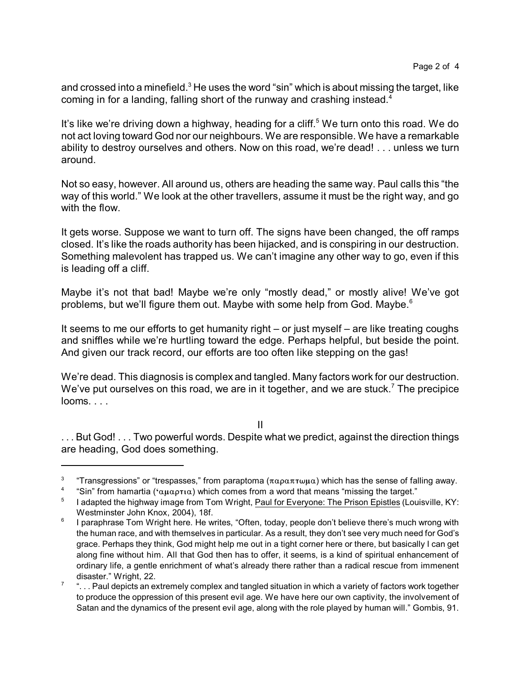and crossed into a minefield. $3$  He uses the word "sin" which is about missing the target, like coming in for a landing, falling short of the runway and crashing instead.<sup>4</sup>

It's like we're driving down a highway, heading for a cliff.<sup>5</sup> We turn onto this road. We do not act loving toward God nor our neighbours. We are responsible. We have a remarkable ability to destroy ourselves and others. Now on this road, we're dead! . . . unless we turn around.

Not so easy, however. All around us, others are heading the same way. Paul calls this "the way of this world." We look at the other travellers, assume it must be the right way, and go with the flow.

It gets worse. Suppose we want to turn off. The signs have been changed, the off ramps closed. It's like the roads authority has been hijacked, and is conspiring in our destruction. Something malevolent has trapped us. We can't imagine any other way to go, even if this is leading off a cliff.

Maybe it's not that bad! Maybe we're only "mostly dead," or mostly alive! We've got problems, but we'll figure them out. Maybe with some help from God. Maybe.<sup>6</sup>

It seems to me our efforts to get humanity right – or just myself – are like treating coughs and sniffles while we're hurtling toward the edge. Perhaps helpful, but beside the point. And given our track record, our efforts are too often like stepping on the gas!

We're dead. This diagnosis is complex and tangled. Many factors work for our destruction. We've put ourselves on this road, we are in it together, and we are stuck.<sup>7</sup> The precipice looms. . . .

II

... But God! ... Two powerful words. Despite what we predict, against the direction things are heading, God does something.

<sup>3</sup> "Transgressions" or "trespasses," from paraptoma ( $\pi \alpha \rho \alpha \pi \tau \omega \mu \alpha$ ) which has the sense of falling away.

<sup>4</sup> "Sin" from hamartia ( $\alpha\mu\alpha\rho\tau\alpha$ ) which comes from a word that means "missing the target."

<sup>5</sup> I adapted the highway image from Tom Wright, Paul for Everyone: The Prison Epistles (Louisville, KY: Westminster John Knox, 2004), 18f.

<sup>6</sup> I paraphrase Tom Wright here. He writes, "Often, today, people don't believe there's much wrong with the human race, and with themselves in particular. As a result, they don't see very much need for God's grace. Perhaps they think, God might help me out in a tight corner here or there, but basically I can get along fine without him. All that God then has to offer, it seems, is a kind of spiritual enhancement of ordinary life, a gentle enrichment of what's already there rather than a radical rescue from immenent disaster." Wright, 22.

<sup>7</sup> ". . . Paul depicts an extremely complex and tangled situation in which a variety of factors work together to produce the oppression of this present evil age. We have here our own captivity, the involvement of Satan and the dynamics of the present evil age, along with the role played by human will." Gombis, 91.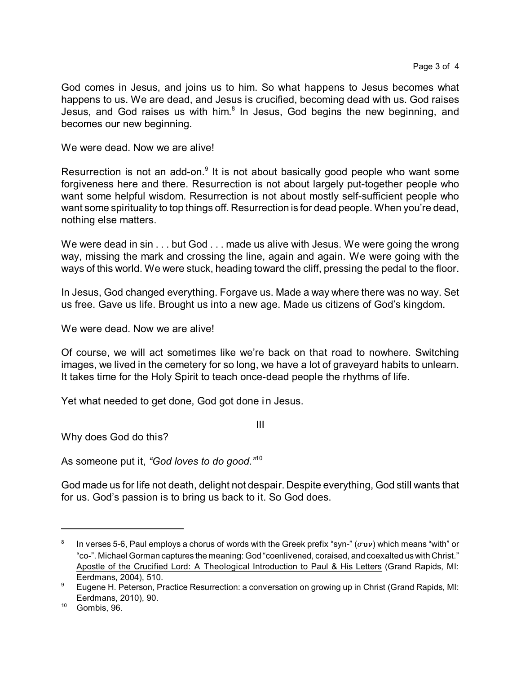God comes in Jesus, and joins us to him. So what happens to Jesus becomes what happens to us. We are dead, and Jesus is crucified, becoming dead with us. God raises Jesus, and God raises us with him.<sup>8</sup> In Jesus, God begins the new beginning, and becomes our new beginning.

We were dead. Now we are alive!

Resurrection is not an add-on.<sup>9</sup> It is not about basically good people who want some forgiveness here and there. Resurrection is not about largely put-together people who want some helpful wisdom. Resurrection is not about mostly self-sufficient people who want some spirituality to top things off. Resurrection is for dead people. When you're dead, nothing else matters.

We were dead in sin . . . but God . . . made us alive with Jesus. We were going the wrong way, missing the mark and crossing the line, again and again. We were going with the ways of this world. We were stuck, heading toward the cliff, pressing the pedal to the floor.

In Jesus, God changed everything. Forgave us. Made a way where there was no way. Set us free. Gave us life. Brought us into a new age. Made us citizens of God's kingdom.

We were dead. Now we are alive!

Of course, we will act sometimes like we're back on that road to nowhere. Switching images, we lived in the cemetery for so long, we have a lot of graveyard habits to unlearn. It takes time for the Holy Spirit to teach once-dead people the rhythms of life.

Yet what needed to get done, God got done in Jesus.

III

Why does God do this?

As someone put it, *"God loves to do good."*<sup>10</sup>

God made us for life not death, delight not despair. Despite everything, God still wants that for us. God's passion is to bring us back to it. So God does.

<sup>8</sup> In verses 5-6, Paul employs a chorus of words with the Greek prefix "syn-" (**sun**) which means "with" or "co-". Michael Gorman captures the meaning: God "coenlivened, coraised, and coexalted us with Christ." Apostle of the Crucified Lord: A Theological Introduction to Paul & His Letters (Grand Rapids, MI: Eerdmans, 2004), 510.

<sup>&</sup>lt;sup>9</sup> Eugene H. Peterson, Practice Resurrection: a conversation on growing up in Christ (Grand Rapids, MI: Eerdmans, 2010), 90.

<sup>10</sup> Gombis, 96.